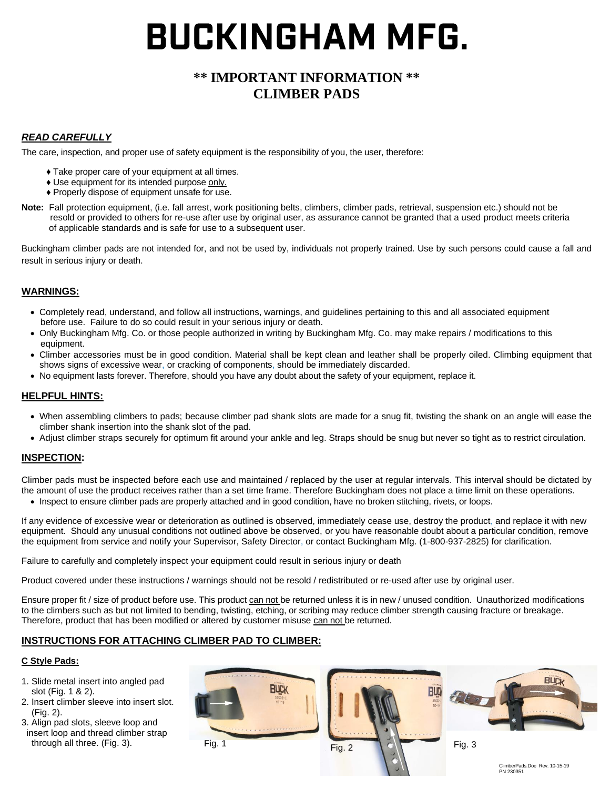# **BUCKINGHAM MFG.**

## **\*\* IMPORTANT INFORMATION \*\* CLIMBER PADS**

## *READ CAREFULLY*

The care, inspection, and proper use of safety equipment is the responsibility of you, the user, therefore:

- ♦ Take proper care of your equipment at all times.
- ♦ Use equipment for its intended purpose only.
- ♦ Properly dispose of equipment unsafe for use.
- Note: Fall protection equipment, (i.e. fall arrest, work positioning belts, climbers, climber pads, retrieval, suspension etc.) should not be resold or provided to others for re-use after use by original user, as assurance cannot be granted that a used product meets criteria of applicable standards and is safe for use to a subsequent user.

Buckingham climber pads are not intended for, and not be used by, individuals not properly trained. Use by such persons could cause a fall and result in serious injury or death.

#### **WARNINGS:**

- Completely read, understand, and follow all instructions, warnings, and guidelines pertaining to this and all associated equipment before use. Failure to do so could result in your serious injury or death.
- Only Buckingham Mfg. Co. or those people authorized in writing by Buckingham Mfg. Co. may make repairs / modifications to this equipment.
- Climber accessories must be in good condition. Material shall be kept clean and leather shall be properly oiled. Climbing equipment that shows signs of excessive wear, or cracking of components, should be immediately discarded.
- No equipment lasts forever. Therefore, should you have any doubt about the safety of your equipment, replace it.

#### **HELPFUL HINTS:**

- When assembling climbers to pads; because climber pad shank slots are made for a snug fit, twisting the shank on an angle will ease the climber shank insertion into the shank slot of the pad.
- Adjust climber straps securely for optimum fit around your ankle and leg. Straps should be snug but never so tight as to restrict circulation.

## **INSPECTION:**

Climber pads must be inspected before each use and maintained / replaced by the user at regular intervals. This interval should be dictated by the amount of use the product receives rather than a set time frame. Therefore Buckingham does not place a time limit on these operations.

• Inspect to ensure climber pads are properly attached and in good condition, have no broken stitching, rivets, or loops.

If any evidence of excessive wear or deterioration as outlined is observed, immediately cease use, destroy the product, and replace it with new equipment. Should any unusual conditions not outlined above be observed, or you have reasonable doubt about a particular condition, remove the equipment from service and notify your Supervisor, Safety Director, or contact Buckingham Mfg. (1-800-937-2825) for clarification.

Failure to carefully and completely inspect your equipment could result in serious injury or death

Product covered under these instructions / warnings should not be resold / redistributed or re-used after use by original user.

Ensure proper fit / size of product before use. This product can not be returned unless it is in new / unused condition. Unauthorized modifications to the climbers such as but not limited to bending, twisting, etching, or scribing may reduce climber strength causing fracture or breakage. Therefore, product that has been modified or altered by customer misuse can not be returned.

## **INSTRUCTIONS FOR ATTACHING CLIMBER PAD TO CLIMBER:**

#### **C Style Pads:**

- 1. Slide metal insert into angled pad slot (Fig. 1 & 2).
- 2. Insert climber sleeve into insert slot. (Fig. 2).
- 3. Align pad slots, sleeve loop and insert loop and thread climber strap through all three. (Fig. 3).